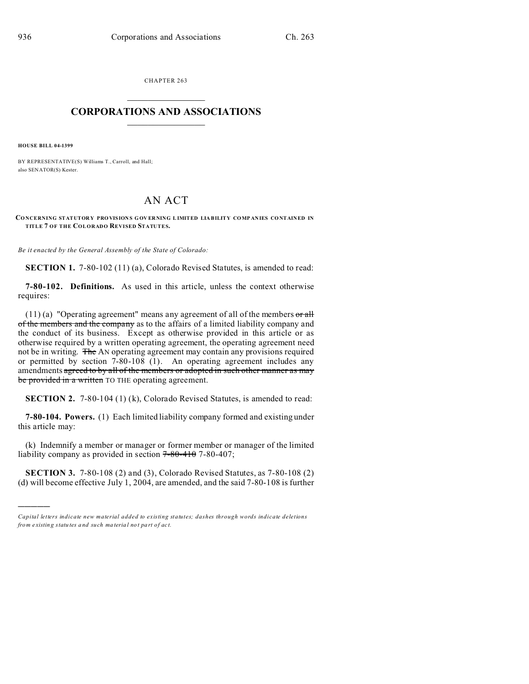CHAPTER 263  $\overline{\phantom{a}}$  , where  $\overline{\phantom{a}}$ 

## **CORPORATIONS AND ASSOCIATIONS**  $\_$   $\_$   $\_$   $\_$   $\_$   $\_$   $\_$   $\_$   $\_$

**HOUSE BILL 04-1399**

)))))

BY REPRESENTATIVE(S) Williams T., Carroll, and Hall; also SENATOR(S) Kester.

## AN ACT

**CONCERNING STATUTOR Y PRO VISION S G OV ER NING L IMITED LIABILITY CO MP ANIES CO NTAINED IN TITLE 7 OF THE COLORADO REVISED STATUTES.**

*Be it enacted by the General Assembly of the State of Colorado:*

**SECTION 1.** 7-80-102 (11) (a), Colorado Revised Statutes, is amended to read:

**7-80-102. Definitions.** As used in this article, unless the context otherwise requires:

 $(11)$  (a) "Operating agreement" means any agreement of all of the members or all of the members and the company as to the affairs of a limited liability company and the conduct of its business. Except as otherwise provided in this article or as otherwise required by a written operating agreement, the operating agreement need not be in writing. The AN operating agreement may contain any provisions required or permitted by section 7-80-108 (1). An operating agreement includes any amendments agreed to by all of the members or adopted in such other manner as may be provided in a written TO THE operating agreement.

**SECTION 2.** 7-80-104 (1) (k), Colorado Revised Statutes, is amended to read:

**7-80-104. Powers.** (1) Each limited liability company formed and existing under this article may:

(k) Indemnify a member or manager or former member or manager of the limited liability company as provided in section  $7 - 80 - 410$  7-80-407;

**SECTION 3.** 7-80-108 (2) and (3), Colorado Revised Statutes, as 7-80-108 (2) (d) will become effective July 1, 2004, are amended, and the said 7-80-108 is further

*Capital letters indicate new material added to existing statutes; dashes through words indicate deletions from e xistin g statu tes a nd such ma teria l no t pa rt of ac t.*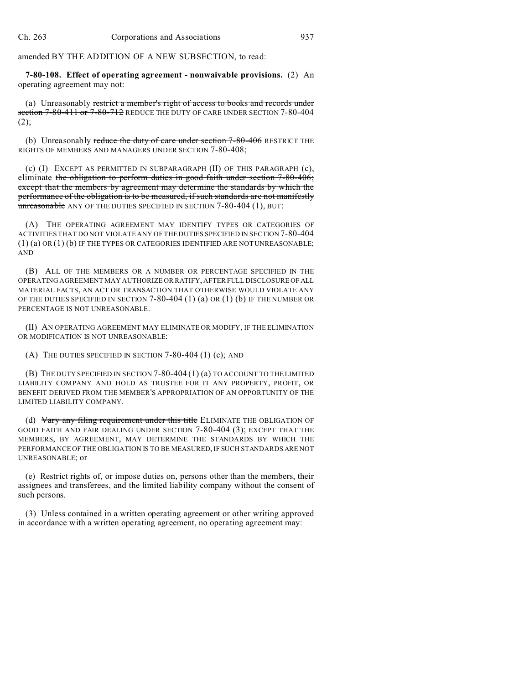amended BY THE ADDITION OF A NEW SUBSECTION, to read:

**7-80-108. Effect of operating agreement - nonwaivable provisions.** (2) An operating agreement may not:

(a) Unreasonably restrict a member's right of access to books and records under section 7-80-411 or 7-80-712 REDUCE THE DUTY OF CARE UNDER SECTION 7-80-404  $(2)$ ;

(b) Unreasonably reduce the duty of care under section  $7-80-406$  RESTRICT THE RIGHTS OF MEMBERS AND MANAGERS UNDER SECTION 7-80-408;

(c) (I) EXCEPT AS PERMITTED IN SUBPARAGRAPH (II) OF THIS PARAGRAPH (c), eliminate the obligation to perform duties in good faith under section 7-80-406; except that the members by agreement may determine the standards by which the performance of the obligation is to be measured, if such standards are not manifestly unreasonable ANY OF THE DUTIES SPECIFIED IN SECTION 7-80-404 (1), BUT:

(A) THE OPERATING AGREEMENT MAY IDENTIFY TYPES OR CATEGORIES OF ACTIVITIES THAT DO NOT VIOLATE ANY OF THE DUTIES SPECIFIED IN SECTION 7-80-404 (1) (a) OR (1) (b) IF THE TYPES OR CATEGORIES IDENTIFIED ARE NOT UNREASONABLE; AND

(B) ALL OF THE MEMBERS OR A NUMBER OR PERCENTAGE SPECIFIED IN THE OPERATING AGREEMENT MAY AUTHORIZE OR RATIFY, AFTER FULL DISCLOSURE OF ALL MATERIAL FACTS, AN ACT OR TRANSACTION THAT OTHERWISE WOULD VIOLATE ANY OF THE DUTIES SPECIFIED IN SECTION 7-80-404 (1) (a) OR (1) (b) IF THE NUMBER OR PERCENTAGE IS NOT UNREASONABLE.

(II) AN OPERATING AGREEMENT MAY ELIMINATE OR MODIFY, IF THE ELIMINATION OR MODIFICATION IS NOT UNREASONABLE:

(A) THE DUTIES SPECIFIED IN SECTION  $7-80-404$  (1) (c); AND

(B) THE DUTY SPECIFIED IN SECTION 7-80-404 (1) (a) TO ACCOUNT TO THE LIMITED LIABILITY COMPANY AND HOLD AS TRUSTEE FOR IT ANY PROPERTY, PROFIT, OR BENEFIT DERIVED FROM THE MEMBER'S APPROPRIATION OF AN OPPORTUNITY OF THE LIMITED LIABILITY COMPANY.

(d) Vary any filing requirement under this title ELIMINATE THE OBLIGATION OF GOOD FAITH AND FAIR DEALING UNDER SECTION 7-80-404 (3); EXCEPT THAT THE MEMBERS, BY AGREEMENT, MAY DETERMINE THE STANDARDS BY WHICH THE PERFORMANCE OF THE OBLIGATION IS TO BE MEASURED, IF SUCH STANDARDS ARE NOT UNREASONABLE; or

(e) Restrict rights of, or impose duties on, persons other than the members, their assignees and transferees, and the limited liability company without the consent of such persons.

(3) Unless contained in a written operating agreement or other writing approved in accordance with a written operating agreement, no operating agreement may: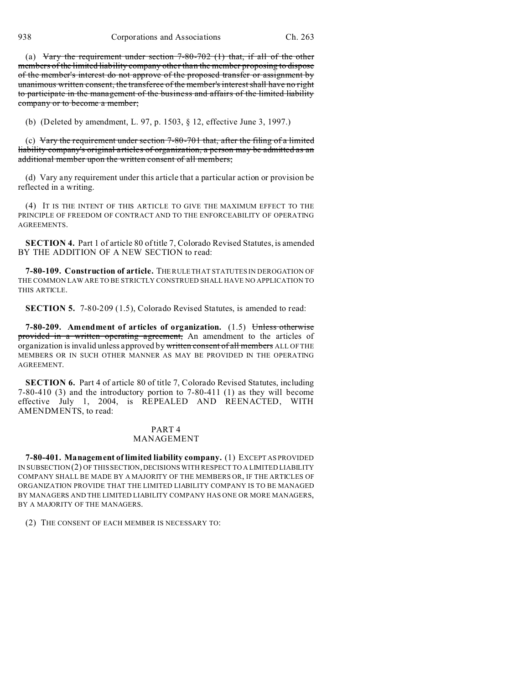(a) Vary the requirement under section  $7-80-702$  (1) that, if all of the other members of the limited liability company other than the member proposing to dispose of the member's interest do not approve of the proposed transfer or assignment by unanimous written consent, the transferee of the member's interest shall have no right to participate in the management of the business and affairs of the limited liability company or to become a member;

(b) (Deleted by amendment, L. 97, p. 1503, § 12, effective June 3, 1997.)

(c) Vary the requirement under section  $7-80-701$  that, after the filing of a limited liability company's original articles of organization, a person may be admitted as an additional member upon the written consent of all members;

(d) Vary any requirement under this article that a particular action or provision be reflected in a writing.

(4) IT IS THE INTENT OF THIS ARTICLE TO GIVE THE MAXIMUM EFFECT TO THE PRINCIPLE OF FREEDOM OF CONTRACT AND TO THE ENFORCEABILITY OF OPERATING AGREEMENTS.

**SECTION 4.** Part 1 of article 80 of title 7, Colorado Revised Statutes, is amended BY THE ADDITION OF A NEW SECTION to read:

**7-80-109. Construction of article.** THE RULE THAT STATUTES IN DEROGATION OF THE COMMON LAW ARE TO BE STRICTLY CONSTRUED SHALL HAVE NO APPLICATION TO THIS ARTICLE.

**SECTION 5.** 7-80-209 (1.5), Colorado Revised Statutes, is amended to read:

**7-80-209. Amendment of articles of organization.** (1.5) Unless otherwise provided in a written operating agreement, An amendment to the articles of organization is invalid unless approved by written consent of all members ALL OF THE MEMBERS OR IN SUCH OTHER MANNER AS MAY BE PROVIDED IN THE OPERATING AGREEMENT.

**SECTION 6.** Part 4 of article 80 of title 7, Colorado Revised Statutes, including 7-80-410 (3) and the introductory portion to 7-80-411 (1) as they will become effective July 1, 2004, is REPEALED AND REENACTED, WITH AMENDMENTS, to read:

## PART 4 MANAGEMENT

**7-80-401. Management of limited liability company.** (1) EXCEPT AS PROVIDED IN SUBSECTION (2) OF THIS SECTION,DECISIONS WITH RESPECT TO A LIMITED LIABILITY COMPANY SHALL BE MADE BY A MAJORITY OF THE MEMBERS OR, IF THE ARTICLES OF ORGANIZATION PROVIDE THAT THE LIMITED LIABILITY COMPANY IS TO BE MANAGED BY MANAGERS AND THE LIMITED LIABILITY COMPANY HAS ONE OR MORE MANAGERS, BY A MAJORITY OF THE MANAGERS.

(2) THE CONSENT OF EACH MEMBER IS NECESSARY TO: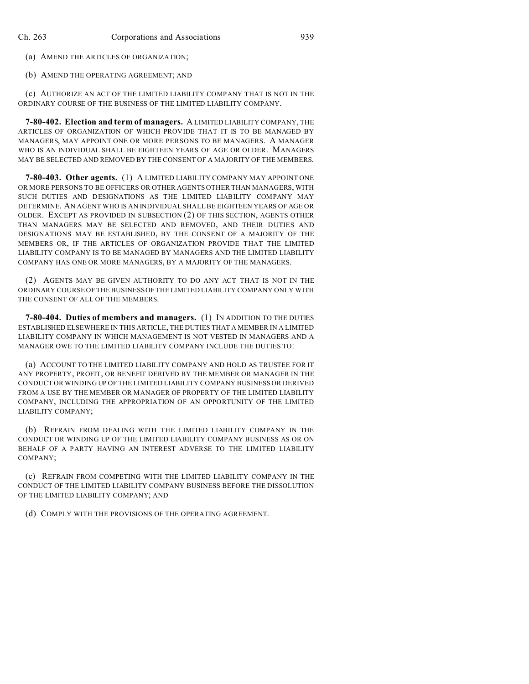(a) AMEND THE ARTICLES OF ORGANIZATION;

(b) AMEND THE OPERATING AGREEMENT; AND

(c) AUTHORIZE AN ACT OF THE LIMITED LIABILITY COMPANY THAT IS NOT IN THE ORDINARY COURSE OF THE BUSINESS OF THE LIMITED LIABILITY COMPANY.

**7-80-402. Election and term of managers.** A LIMITED LIABILITY COMPANY, THE ARTICLES OF ORGANIZATION OF WHICH PROVIDE THAT IT IS TO BE MANAGED BY MANAGERS, MAY APPOINT ONE OR MORE PERSONS TO BE MANAGERS. A MANAGER WHO IS AN INDIVIDUAL SHALL BE EIGHTEEN YEARS OF AGE OR OLDER. MANAGERS MAY BE SELECTED AND REMOVED BY THE CONSENT OF A MAJORITY OF THE MEMBERS.

**7-80-403. Other agents.** (1) A LIMITED LIABILITY COMPANY MAY APPOINT ONE OR MORE PERSONS TO BE OFFICERS OR OTHER AGENTS OTHER THAN MANAGERS, WITH SUCH DUTIES AND DESIGNATIONS AS THE LIMITED LIABILITY COMPANY MAY DETERMINE. AN AGENT WHO IS AN INDIVIDUAL SHALL BE EIGHTEEN YEARS OF AGE OR OLDER. EXCEPT AS PROVIDED IN SUBSECTION (2) OF THIS SECTION, AGENTS OTHER THAN MANAGERS MAY BE SELECTED AND REMOVED, AND THEIR DUTIES AND DESIGNATIONS MAY BE ESTABLISHED, BY THE CONSENT OF A MAJORITY OF THE MEMBERS OR, IF THE ARTICLES OF ORGANIZATION PROVIDE THAT THE LIMITED LIABILITY COMPANY IS TO BE MANAGED BY MANAGERS AND THE LIMITED LIABILITY COMPANY HAS ONE OR MORE MANAGERS, BY A MAJORITY OF THE MANAGERS.

(2) AGENTS MAY BE GIVEN AUTHORITY TO DO ANY ACT THAT IS NOT IN THE ORDINARY COURSE OF THE BUSINESS OF THE LIMITED LIABILITY COMPANY ONLY WITH THE CONSENT OF ALL OF THE MEMBERS.

**7-80-404. Duties of members and managers.** (1) IN ADDITION TO THE DUTIES ESTABLISHED ELSEWHERE IN THIS ARTICLE, THE DUTIES THAT A MEMBER IN A LIMITED LIABILITY COMPANY IN WHICH MANAGEMENT IS NOT VESTED IN MANAGERS AND A MANAGER OWE TO THE LIMITED LIABILITY COMPANY INCLUDE THE DUTIES TO:

(a) ACCOUNT TO THE LIMITED LIABILITY COMPANY AND HOLD AS TRUSTEE FOR IT ANY PROPERTY, PROFIT, OR BENEFIT DERIVED BY THE MEMBER OR MANAGER IN THE CONDUCT OR WINDING UP OF THE LIMITED LIABILITY COMPANY BUSINESS OR DERIVED FROM A USE BY THE MEMBER OR MANAGER OF PROPERTY OF THE LIMITED LIABILITY COMPANY, INCLUDING THE APPROPRIATION OF AN OPPORTUNITY OF THE LIMITED LIABILITY COMPANY;

(b) REFRAIN FROM DEALING WITH THE LIMITED LIABILITY COMPANY IN THE CONDUCT OR WINDING UP OF THE LIMITED LIABILITY COMPANY BUSINESS AS OR ON BEHALF OF A PARTY HAVING AN INTEREST ADVERSE TO THE LIMITED LIABILITY COMPANY;

(c) REFRAIN FROM COMPETING WITH THE LIMITED LIABILITY COMPANY IN THE CONDUCT OF THE LIMITED LIABILITY COMPANY BUSINESS BEFORE THE DISSOLUTION OF THE LIMITED LIABILITY COMPANY; AND

(d) COMPLY WITH THE PROVISIONS OF THE OPERATING AGREEMENT.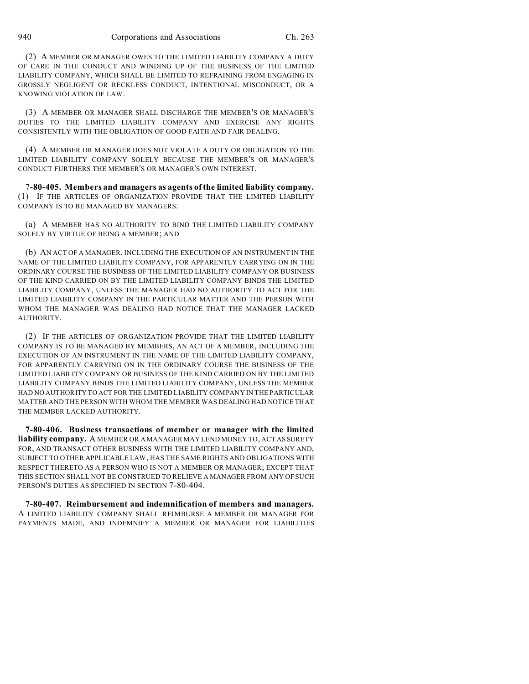(2) A MEMBER OR MANAGER OWES TO THE LIMITED LIABILITY COMPANY A DUTY OF CARE IN THE CONDUCT AND WINDING UP OF THE BUSINESS OF THE LIMITED LIABILITY COMPANY, WHICH SHALL BE LIMITED TO REFRAINING FROM ENGAGING IN GROSSLY NEGLIGENT OR RECKLESS CONDUCT, INTENTIONAL MISCONDUCT, OR A KNOWING VIOLATION OF LAW.

(3) A MEMBER OR MANAGER SHALL DISCHARGE THE MEMBER'S OR MANAGER'S DUTIES TO THE LIMITED LIABILITY COMPANY AND EXERCISE ANY RIGHTS CONSISTENTLY WITH THE OBLIGATION OF GOOD FAITH AND FAIR DEALING.

(4) A MEMBER OR MANAGER DOES NOT VIOLATE A DUTY OR OBLIGATION TO THE LIMITED LIABILITY COMPANY SOLELY BECAUSE THE MEMBER'S OR MANAGER'S CONDUCT FURTHERS THE MEMBER'S OR MANAGER'S OWN INTEREST.

7**-80-405. Members and managers as agents of the limited liability company.** (1) IF THE ARTICLES OF ORGANIZATION PROVIDE THAT THE LIMITED LIABILITY COMPANY IS TO BE MANAGED BY MANAGERS:

(a) A MEMBER HAS NO AUTHORITY TO BIND THE LIMITED LIABILITY COMPANY SOLELY BY VIRTUE OF BEING A MEMBER; AND

(b) AN ACT OF A MANAGER, INCLUDING THE EXECUTION OF AN INSTRUMENT IN THE NAME OF THE LIMITED LIABILITY COMPANY, FOR APPARENTLY CARRYING ON IN THE ORDINARY COURSE THE BUSINESS OF THE LIMITED LIABILITY COMPANY OR BUSINESS OF THE KIND CARRIED ON BY THE LIMITED LIABILITY COMPANY BINDS THE LIMITED LIABILITY COMPANY, UNLESS THE MANAGER HAD NO AUTHORITY TO ACT FOR THE LIMITED LIABILITY COMPANY IN THE PARTICULAR MATTER AND THE PERSON WITH WHOM THE MANAGER WAS DEALING HAD NOTICE THAT THE MANAGER LACKED AUTHORITY.

(2) IF THE ARTICLES OF ORGANIZATION PROVIDE THAT THE LIMITED LIABILITY COMPANY IS TO BE MANAGED BY MEMBERS, AN ACT OF A MEMBER, INCLUDING THE EXECUTION OF AN INSTRUMENT IN THE NAME OF THE LIMITED LIABILITY COMPANY, FOR APPARENTLY CARRYING ON IN THE ORDINARY COURSE THE BUSINESS OF THE LIMITED LIABILITY COMPANY OR BUSINESS OF THE KIND CARRIED ON BY THE LIMITED LIABILITY COMPANY BINDS THE LIMITED LIABILITY COMPANY, UNLESS THE MEMBER HAD NO AUTHORITY TO ACT FOR THE LIMITED LIABILITY COMPANY IN THE PARTICULAR MATTER AND THE PERSON WITH WHOM THE MEMBER WAS DEALING HAD NOTICE THAT THE MEMBER LACKED AUTHORITY.

**7-80-406. Business transactions of member or manager with the limited liability company.** A MEMBER OR A MANAGER MAY LEND MONEY TO, ACT AS SURETY FOR, AND TRANSACT OTHER BUSINESS WITH THE LIMITED LIABILITY COMPANY AND, SUBJECT TO OTHER APPLICABLE LAW, HAS THE SAME RIGHTS AND OBLIGATIONS WITH RESPECT THERETO AS A PERSON WHO IS NOT A MEMBER OR MANAGER; EXCEPT THAT THIS SECTION SHALL NOT BE CONSTRUED TO RELIEVE A MANAGER FROM ANY OF SUCH PERSON'S DUTIES AS SPECIFIED IN SECTION 7-80-404.

**7-80-407. Reimbursement and indemnification of members and managers.** A LIMITED LIABILITY COMPANY SHALL REIMBURSE A MEMBER OR MANAGER FOR PAYMENTS MADE, AND INDEMNIFY A MEMBER OR MANAGER FOR LIABILITIES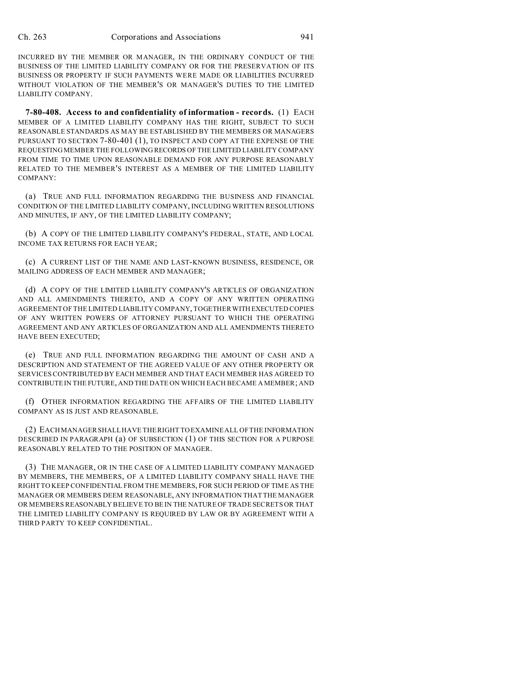INCURRED BY THE MEMBER OR MANAGER, IN THE ORDINARY CONDUCT OF THE BUSINESS OF THE LIMITED LIABILITY COMPANY OR FOR THE PRESERVATION OF ITS BUSINESS OR PROPERTY IF SUCH PAYMENTS WERE MADE OR LIABILITIES INCURRED WITHOUT VIOLATION OF THE MEMBER'S OR MANAGER'S DUTIES TO THE LIMITED LIABILITY COMPANY.

**7-80-408. Access to and confidentiality of information - records.** (1) EACH MEMBER OF A LIMITED LIABILITY COMPANY HAS THE RIGHT, SUBJECT TO SUCH REASONABLE STANDARDS AS MAY BE ESTABLISHED BY THE MEMBERS OR MANAGERS PURSUANT TO SECTION 7-80-401 (1), TO INSPECT AND COPY AT THE EXPENSE OF THE REQUESTING MEMBER THE FOLLOWING RECORDS OF THE LIMITED LIABILITY COMPANY FROM TIME TO TIME UPON REASONABLE DEMAND FOR ANY PURPOSE REASONABLY RELATED TO THE MEMBER'S INTEREST AS A MEMBER OF THE LIMITED LIABILITY COMPANY:

(a) TRUE AND FULL INFORMATION REGARDING THE BUSINESS AND FINANCIAL CONDITION OF THE LIMITED LIABILITY COMPANY, INCLUDING WRITTEN RESOLUTIONS AND MINUTES, IF ANY, OF THE LIMITED LIABILITY COMPANY;

(b) A COPY OF THE LIMITED LIABILITY COMPANY'S FEDERAL, STATE, AND LOCAL INCOME TAX RETURNS FOR EACH YEAR;

(c) A CURRENT LIST OF THE NAME AND LAST-KNOWN BUSINESS, RESIDENCE, OR MAILING ADDRESS OF EACH MEMBER AND MANAGER;

(d) A COPY OF THE LIMITED LIABILITY COMPANY'S ARTICLES OF ORGANIZATION AND ALL AMENDMENTS THERETO, AND A COPY OF ANY WRITTEN OPERATING AGREEMENT OF THE LIMITED LIABILITY COMPANY, TOGETHER WITH EXECUTED COPIES OF ANY WRITTEN POWERS OF ATTORNEY PURSUANT TO WHICH THE OPERATING AGREEMENT AND ANY ARTICLES OF ORGANIZATION AND ALL AMENDMENTS THERETO HAVE BEEN EXECUTED;

(e) TRUE AND FULL INFORMATION REGARDING THE AMOUNT OF CASH AND A DESCRIPTION AND STATEMENT OF THE AGREED VALUE OF ANY OTHER PROPERTY OR SERVICES CONTRIBUTED BY EACH MEMBER AND THAT EACH MEMBER HAS AGREED TO CONTRIBUTE IN THE FUTURE, AND THE DATE ON WHICH EACH BECAME A MEMBER; AND

(f) OTHER INFORMATION REGARDING THE AFFAIRS OF THE LIMITED LIABILITY COMPANY AS IS JUST AND REASONABLE.

(2) EACH MANAGER SHALL HAVE THE RIGHT TO EXAMINE ALL OF THE INFORMATION DESCRIBED IN PARAGRAPH (a) OF SUBSECTION (1) OF THIS SECTION FOR A PURPOSE REASONABLY RELATED TO THE POSITION OF MANAGER.

(3) THE MANAGER, OR IN THE CASE OF A LIMITED LIABILITY COMPANY MANAGED BY MEMBERS, THE MEMBERS, OF A LIMITED LIABILITY COMPANY SHALL HAVE THE RIGHT TO KEEP CONFIDENTIAL FROM THE MEMBERS, FOR SUCH PERIOD OF TIME AS THE MANAGER OR MEMBERS DEEM REASONABLE, ANY INFORMATION THAT THE MANAGER OR MEMBERS REASONABLY BELIEVE TO BE IN THE NATURE OF TRADE SECRETS OR THAT THE LIMITED LIABILITY COMPANY IS REQUIRED BY LAW OR BY AGREEMENT WITH A THIRD PARTY TO KEEP CONFIDENTIAL.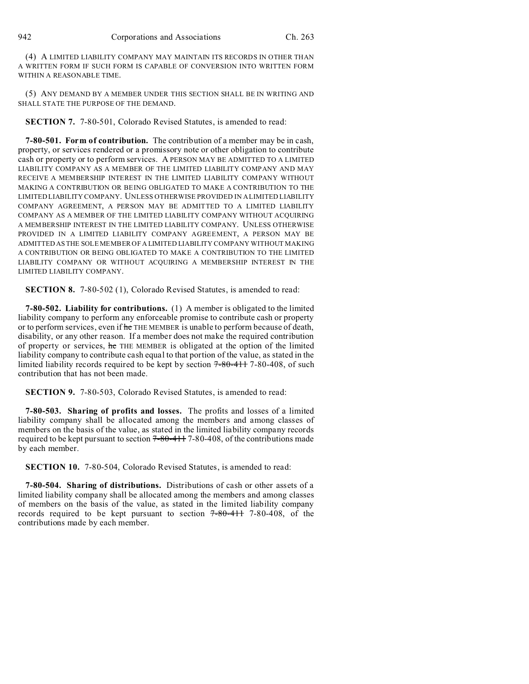(4) A LIMITED LIABILITY COMPANY MAY MAINTAIN ITS RECORDS IN OTHER THAN A WRITTEN FORM IF SUCH FORM IS CAPABLE OF CONVERSION INTO WRITTEN FORM WITHIN A REASONABLE TIME.

(5) ANY DEMAND BY A MEMBER UNDER THIS SECTION SHALL BE IN WRITING AND SHALL STATE THE PURPOSE OF THE DEMAND.

**SECTION 7.** 7-80-501, Colorado Revised Statutes, is amended to read:

**7-80-501. Form of contribution.** The contribution of a member may be in cash, property, or services rendered or a promissory note or other obligation to contribute cash or property or to perform services. A PERSON MAY BE ADMITTED TO A LIMITED LIABILITY COMPANY AS A MEMBER OF THE LIMITED LIABILITY COMPANY AND MAY RECEIVE A MEMBERSHIP INTEREST IN THE LIMITED LIABILITY COMPANY WITHOUT MAKING A CONTRIBUTION OR BEING OBLIGATED TO MAKE A CONTRIBUTION TO THE LIMITED LIABILITY COMPANY. UNLESS OTHERWISE PROVIDED IN A LIMITED LIABILITY COMPANY AGREEMENT, A PERSON MAY BE ADMITTED TO A LIMITED LIABILITY COMPANY AS A MEMBER OF THE LIMITED LIABILITY COMPANY WITHOUT ACQUIRING A MEMBERSHIP INTEREST IN THE LIMITED LIABILITY COMPANY. UNLESS OTHERWISE PROVIDED IN A LIMITED LIABILITY COMPANY AGREEMENT, A PERSON MAY BE ADMITTED AS THE SOLE MEMBER OF A LIMITED LIABILITY COMPANY WITHOUT MAKING A CONTRIBUTION OR BEING OBLIGATED TO MAKE A CONTRIBUTION TO THE LIMITED LIABILITY COMPANY OR WITHOUT ACQUIRING A MEMBERSHIP INTEREST IN THE LIMITED LIABILITY COMPANY.

**SECTION 8.** 7-80-502 (1), Colorado Revised Statutes, is amended to read:

**7-80-502. Liability for contributions.** (1) A member is obligated to the limited liability company to perform any enforceable promise to contribute cash or property or to perform services, even if he THE MEMBER is unable to perform because of death, disability, or any other reason. If a member does not make the required contribution of property or services, he THE MEMBER is obligated at the option of the limited liability company to contribute cash equal to that portion of the value, as stated in the limited liability records required to be kept by section 7-80-411 7-80-408, of such contribution that has not been made.

**SECTION 9.** 7-80-503, Colorado Revised Statutes, is amended to read:

**7-80-503. Sharing of profits and losses.** The profits and losses of a limited liability company shall be allocated among the members and among classes of members on the basis of the value, as stated in the limited liability company records required to be kept pursuant to section  $7-80-411$  7-80-408, of the contributions made by each member.

**SECTION 10.** 7-80-504, Colorado Revised Statutes, is amended to read:

**7-80-504. Sharing of distributions.** Distributions of cash or other assets of a limited liability company shall be allocated among the members and among classes of members on the basis of the value, as stated in the limited liability company records required to be kept pursuant to section 7-80-411 7-80-408, of the contributions made by each member.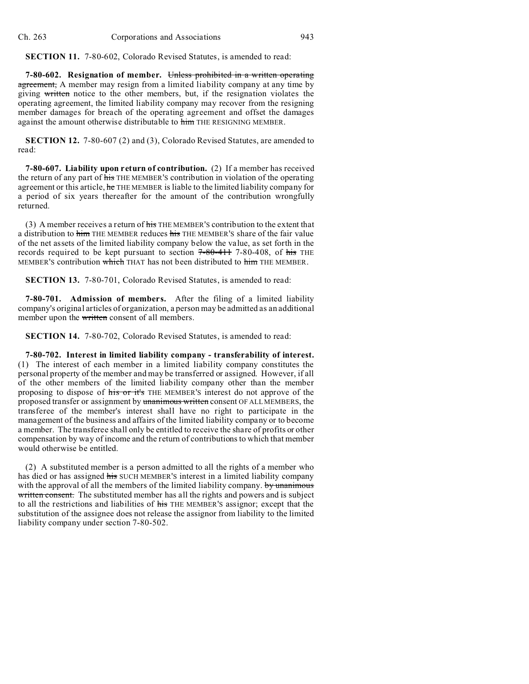**SECTION 11.** 7-80-602, Colorado Revised Statutes, is amended to read:

**7-80-602.** Resignation of member. Unless prohibited in a written operating agreement, A member may resign from a limited liability company at any time by giving written notice to the other members, but, if the resignation violates the operating agreement, the limited liability company may recover from the resigning member damages for breach of the operating agreement and offset the damages against the amount otherwise distributable to him THE RESIGNING MEMBER.

**SECTION 12.** 7-80-607 (2) and (3), Colorado Revised Statutes, are amended to read:

**7-80-607. Liability upon return of contribution.** (2) If a member has received the return of any part of his THE MEMBER'S contribution in violation of the operating agreement or this article, he THE MEMBER is liable to the limited liability company for a period of six years thereafter for the amount of the contribution wrongfully returned.

(3) A member receives a return of  $\frac{1}{115}$  THE MEMBER's contribution to the extent that a distribution to him THE MEMBER reduces his THE MEMBER'S share of the fair value of the net assets of the limited liability company below the value, as set forth in the records required to be kept pursuant to section 7-80-411 7-80-408, of his THE MEMBER'S contribution which THAT has not been distributed to him THE MEMBER.

**SECTION 13.** 7-80-701, Colorado Revised Statutes, is amended to read:

**7-80-701. Admission of members.** After the filing of a limited liability company's original articles of organization, a person may be admitted as an additional member upon the written consent of all members.

**SECTION 14.** 7-80-702, Colorado Revised Statutes, is amended to read:

**7-80-702. Interest in limited liability company - transferability of interest.** (1) The interest of each member in a limited liability company constitutes the personal property of the member and may be transferred or assigned. However, if all of the other members of the limited liability company other than the member proposing to dispose of his or it's THE MEMBER'S interest do not approve of the proposed transfer or assignment by unanimous written consent OF ALL MEMBERS, the transferee of the member's interest shall have no right to participate in the management of the business and affairs of the limited liability company or to become a member. The transferee shall only be entitled to receive the share of profits or other compensation by way of income and the return of contributions to which that member would otherwise be entitled.

(2) A substituted member is a person admitted to all the rights of a member who has died or has assigned his SUCH MEMBER'S interest in a limited liability company with the approval of all the members of the limited liability company. by unanimous written consent. The substituted member has all the rights and powers and is subject to all the restrictions and liabilities of his THE MEMBER'S assignor; except that the substitution of the assignee does not release the assignor from liability to the limited liability company under section 7-80-502.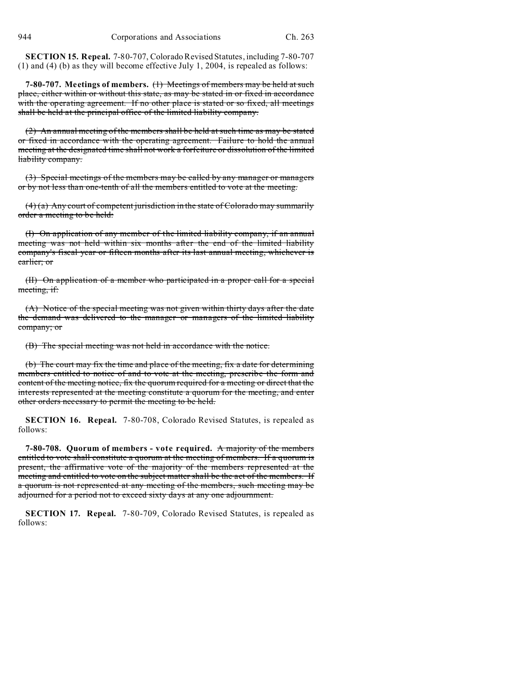**SECTION 15. Repeal.** 7-80-707, Colorado Revised Statutes, including 7-80-707 (1) and (4) (b) as they will become effective July 1, 2004, is repealed as follows:

**7-80-707. Meetings of members.** (1) Meetings of members may be held at such place, either within or without this state, as may be stated in or fixed in accordance with the operating agreement. If no other place is stated or so fixed, all meetings shall be held at the principal office of the limited liability company.

(2) An annual meeting of the members shall be held at such time as may be stated or fixed in accordance with the operating agreement. Failure to hold the annual meeting at the designated time shall not work a forfeiture or dissolution of the limited liability company.

(3) Special meetings of the members may be called by any manager or managers or by not less than one-tenth of all the members entitled to vote at the meeting.

(4) (a) Any court of competent jurisdiction in the state of Colorado may summarily order a meeting to be held:

(I) On application of any member of the limited liability company, if an annual meeting was not held within six months after the end of the limited liability company's fiscal year or fifteen months after its last annual meeting, whichever is earlier; or

(II) On application of a member who participated in a proper call for a special meeting, if:

(A) Notice of the special meeting was not given within thirty days after the date the demand was delivered to the manager or managers of the limited liability company; or

(B) The special meeting was not held in accordance with the notice.

(b) The court may fix the time and place of the meeting, fix a date for determining members entitled to notice of and to vote at the meeting, prescribe the form and content of the meeting notice, fix the quorum required for a meeting or direct that the interests represented at the meeting constitute a quorum for the meeting, and enter other orders necessary to permit the meeting to be held.

**SECTION 16. Repeal.** 7-80-708, Colorado Revised Statutes, is repealed as follows:

**7-80-708. Quorum of members - vote required.** A majority of the members entitled to vote shall constitute a quorum at the meeting of members. If a quorum is present, the affirmative vote of the majority of the members represented at the meeting and entitled to vote on the subject matter shall be the act of the members. If a quorum is not represented at any meeting of the members, such meeting may be adjourned for a period not to exceed sixty days at any one adjournment.

**SECTION 17. Repeal.** 7-80-709, Colorado Revised Statutes, is repealed as follows: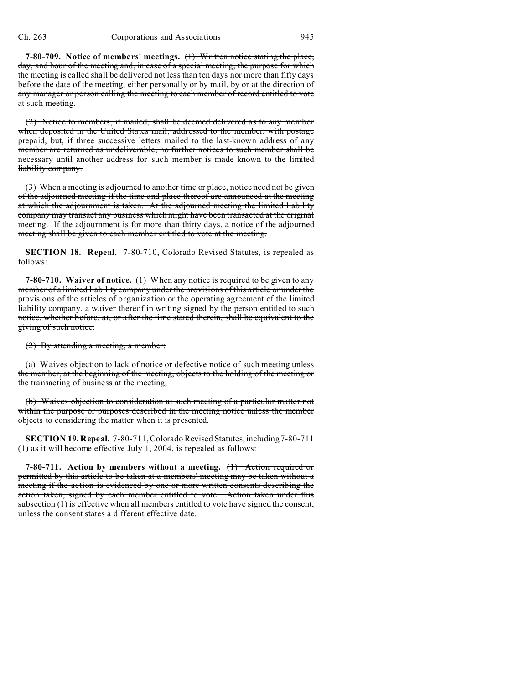**7-80-709. Notice of members' meetings.** (1) Written notice stating the place, day, and hour of the meeting and, in case of a special meeting, the purpose for which the meeting is called shall be delivered not less than ten days nor more than fifty days before the date of the meeting, either personally or by mail, by or at the direction of any manager or person calling the meeting to each member of record entitled to vote at such meeting.

(2) Notice to members, if mailed, shall be deemed delivered as to any member when deposited in the United States mail, addressed to the member, with postage prepaid, but, if three successive letters mailed to the last-known address of any member are returned as undeliverable, no further notices to such member shall be necessary until another address for such member is made known to the limited liability company.

(3) When a meeting is adjourned to another time or place, notice need not be given of the adjourned meeting if the time and place thereof are announced at the meeting at which the adjournment is taken. At the adjourned meeting the limited liability company may transact any business which might have been transacted at the original meeting. If the adjournment is for more than thirty days, a notice of the adjourned meeting shall be given to each member entitled to vote at the meeting.

**SECTION 18. Repeal.** 7-80-710, Colorado Revised Statutes, is repealed as follows:

**7-80-710. Waiver of notice.** (1) When any notice is required to be given to any member of a limited liability company under the provisions of this article or under the provisions of the articles of organization or the operating agreement of the limited liability company, a waiver thereof in writing signed by the person entitled to such notice, whether before, at, or after the time stated therein, shall be equivalent to the giving of such notice.

(2) By attending a meeting, a member:

(a) Waives objection to lack of notice or defective notice of such meeting unless the member, at the beginning of the meeting, objects to the holding of the meeting or the transacting of business at the meeting;

(b) Waives objection to consideration at such meeting of a particular matter not within the purpose or purposes described in the meeting notice unless the member objects to considering the matter when it is presented.

**SECTION 19. Repeal.** 7-80-711, Colorado Revised Statutes, including 7-80-711 (1) as it will become effective July 1, 2004, is repealed as follows:

**7-80-711. Action by members without a meeting.** (1) Action required or permitted by this article to be taken at a members' meeting may be taken without a meeting if the action is evidenced by one or more written consents describing the action taken, signed by each member entitled to vote. Action taken under this subsection (1) is effective when all members entitled to vote have signed the consent, unless the consent states a different effective date.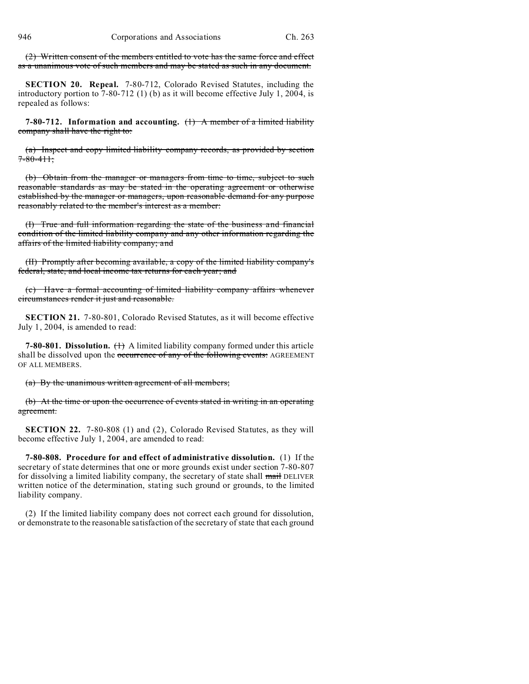(2) Written consent of the members entitled to vote has the same force and effect as a unanimous vote of such members and may be stated as such in any document.

**SECTION 20. Repeal.** 7-80-712, Colorado Revised Statutes, including the introductory portion to 7-80-712 (1) (b) as it will become effective July 1, 2004, is repealed as follows:

**7-80-712. Information and accounting.** (1) A member of a limited liability company shall have the right to:

(a) Inspect and copy limited liability company records, as provided by section  $7 - 80 - 411$ ;

(b) Obtain from the manager or managers from time to time, subject to such reasonable standards as may be stated in the operating agreement or otherwise established by the manager or managers, upon reasonable demand for any purpose reasonably related to the member's interest as a member:

(I) True and full information regarding the state of the business and financial condition of the limited liability company and any other information regarding the affairs of the limited liability company; and

(II) Promptly after becoming available, a copy of the limited liability company's federal, state, and local income tax returns for each year; and

(c) Have a formal accounting of limited liability company affairs whenever circumstances render it just and reasonable.

**SECTION 21.** 7-80-801, Colorado Revised Statutes, as it will become effective July 1, 2004, is amended to read:

**7-80-801. Dissolution.** (1) A limited liability company formed under this article shall be dissolved upon the occurrence of any of the following events: AGREEMENT OF ALL MEMBERS.

(a) By the unanimous written agreement of all members;

(b) At the time or upon the occurrence of events stated in writing in an operating agreement.

**SECTION 22.** 7-80-808 (1) and (2), Colorado Revised Statutes, as they will become effective July 1, 2004, are amended to read:

**7-80-808. Procedure for and effect of administrative dissolution.** (1) If the secretary of state determines that one or more grounds exist under section 7-80-807 for dissolving a limited liability company, the secretary of state shall mail DELIVER written notice of the determination, stating such ground or grounds, to the limited liability company.

(2) If the limited liability company does not correct each ground for dissolution, or demonstrate to the reasonable satisfaction of the secretary of state that each ground